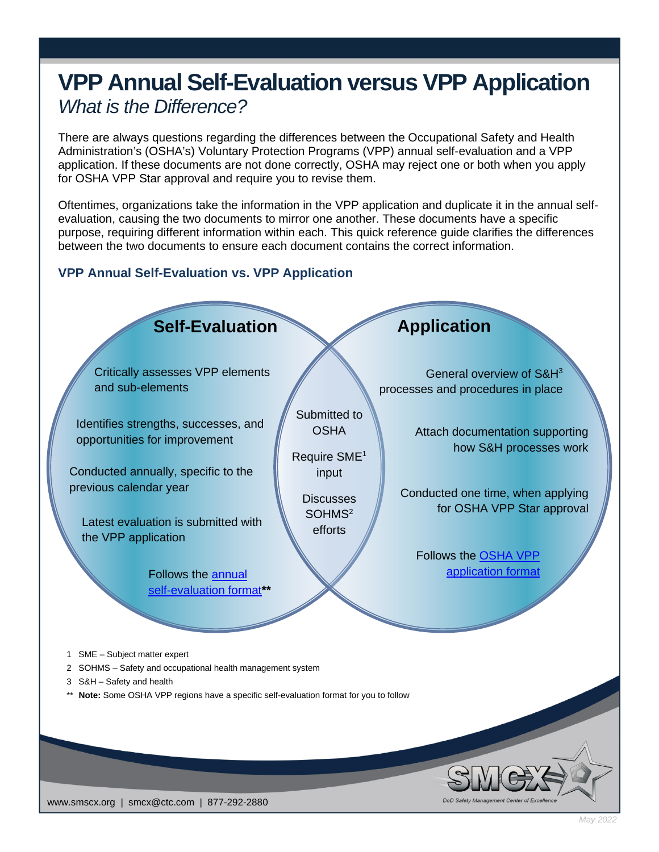# **VPP Annual Self-Evaluation versus VPP Application** *What is the Difference?*

There are always questions regarding the differences between the Occupational Safety and Health Administration's (OSHA's) Voluntary Protection Programs (VPP) annual self-evaluation and a VPP application. If these documents are not done correctly, OSHA may reject one or both when you apply for OSHA VPP Star approval and require you to revise them.

Oftentimes, organizations take the information in the VPP application and duplicate it in the annual selfevaluation, causing the two documents to mirror one another. These documents have a specific purpose, requiring different information within each. This quick reference guide clarifies the differences between the two documents to ensure each document contains the correct information.

# **VPP Annual Self-Evaluation vs. VPP Application**



www.smscx.org | smcx@ctc.com | 877-292-2880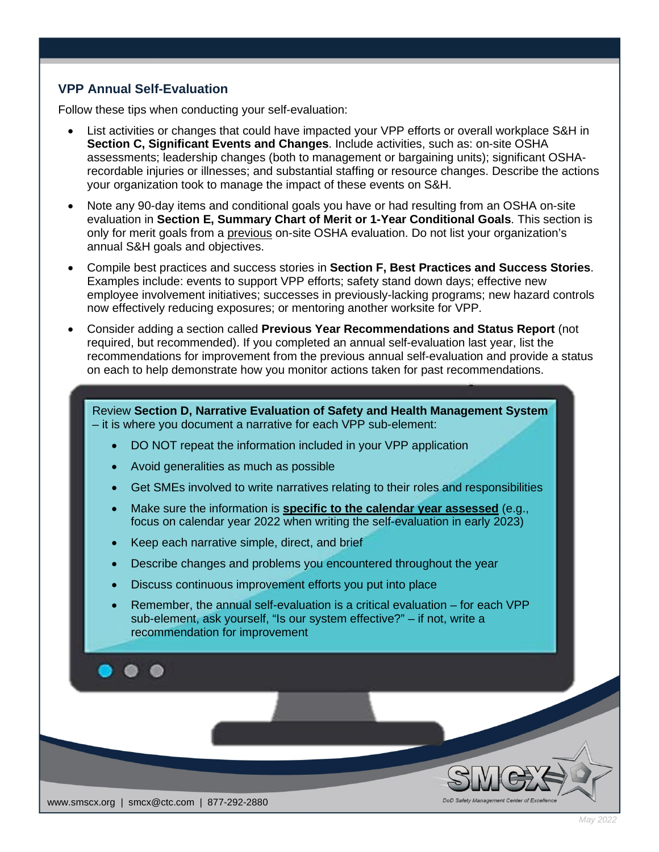# **VPP Annual Self-Evaluation**

Follow these tips when conducting your self-evaluation:

- List activities or changes that could have impacted your VPP efforts or overall workplace S&H in **Section C, Significant Events and Changes**. Include activities, such as: on-site OSHA assessments; leadership changes (both to management or bargaining units); significant OSHArecordable injuries or illnesses; and substantial staffing or resource changes. Describe the actions your organization took to manage the impact of these events on S&H.
- Note any 90-day items and conditional goals you have or had resulting from an OSHA on-site evaluation in **Section E, Summary Chart of Merit or 1-Year Conditional Goals**. This section is only for merit goals from a previous on-site OSHA evaluation. Do not list your organization's annual S&H goals and objectives.
- Compile best practices and success stories in **Section F, Best Practices and Success Stories**. Examples include: events to support VPP efforts; safety stand down days; effective new employee involvement initiatives; successes in previously-lacking programs; new hazard controls now effectively reducing exposures; or mentoring another worksite for VPP.
- Consider adding a section called **Previous Year Recommendations and Status Report** (not required, but recommended). If you completed an annual self-evaluation last year, list the recommendations for improvement from the previous annual self-evaluation and provide a status on each to help demonstrate how you monitor actions taken for past recommendations.

Review **Section D, Narrative Evaluation of Safety and Health Management System** – it is where you document a narrative for each VPP sub-element:

- DO NOT repeat the information included in your VPP application
- Avoid generalities as much as possible
- Get SMEs involved to write narratives relating to their roles and responsibilities
- Make sure the information is **specific to the calendar year assessed** (e.g., focus on calendar year 2022 when writing the self-evaluation in early 2023)
- Keep each narrative simple, direct, and brief
- Describe changes and problems you encountered throughout the year
- Discuss continuous improvement efforts you put into place
- Remember, the annual self-evaluation is a critical evaluation for each VPP sub-element, ask yourself, "Is our system effective?" – if not, write a recommendation for improvement



*May 2022*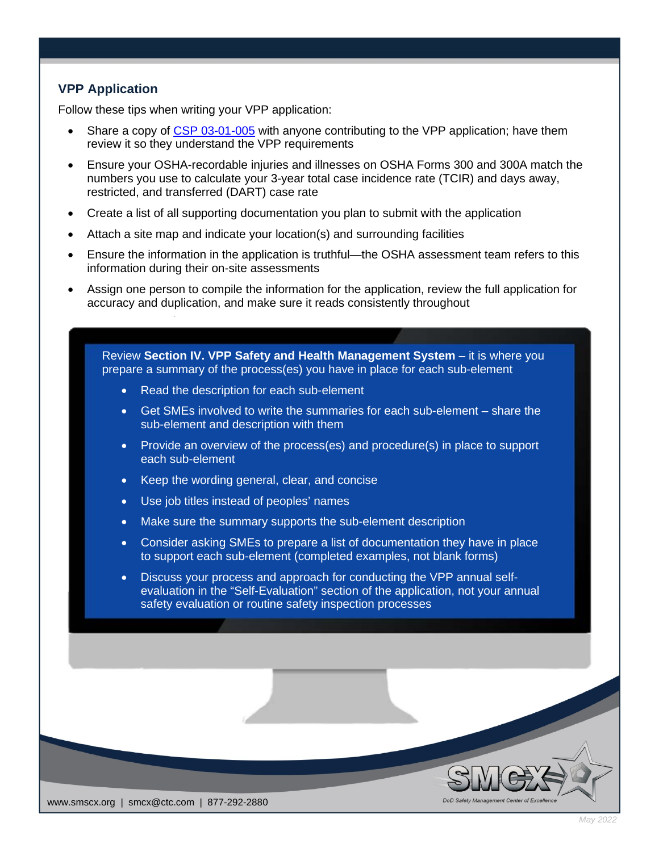# **VPP Application**

Follow these tips when writing your VPP application:

- Share a copy of [CSP 03-01-005](https://www.osha.gov/enforcement/directives/csp-03-01-005) with anyone contributing to the VPP application; have them review it so they understand the VPP requirements
- Ensure your OSHA-recordable injuries and illnesses on OSHA Forms 300 and 300A match the numbers you use to calculate your 3-year total case incidence rate (TCIR) and days away, restricted, and transferred (DART) case rate
- Create a list of all supporting documentation you plan to submit with the application
- Attach a site map and indicate your location(s) and surrounding facilities
- Ensure the information in the application is truthful—the OSHA assessment team refers to this information during their on-site assessments
- Assign one person to compile the information for the application, review the full application for accuracy and duplication, and make sure it reads consistently throughout